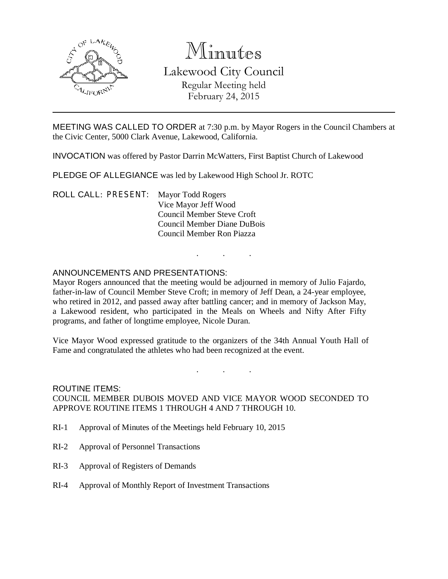

# Minutes

## Lakewood City Council Regular Meeting held February 24, 2015

MEETING WAS CALLED TO ORDER at 7:30 p.m. by Mayor Rogers in the Council Chambers at the Civic Center, 5000 Clark Avenue, Lakewood, California.

INVOCATION was offered by Pastor Darrin McWatters, First Baptist Church of Lakewood

PLEDGE OF ALLEGIANCE was led by Lakewood High School Jr. ROTC

ROLL CALL: PRESENT: Mayor Todd Rogers Vice Mayor Jeff Wood Council Member Steve Croft Council Member Diane DuBois Council Member Ron Piazza

#### ANNOUNCEMENTS AND PRESENTATIONS:

Mayor Rogers announced that the meeting would be adjourned in memory of Julio Fajardo, father-in-law of Council Member Steve Croft; in memory of Jeff Dean, a 24-year employee, who retired in 2012, and passed away after battling cancer; and in memory of Jackson May, a Lakewood resident, who participated in the Meals on Wheels and Nifty After Fifty programs, and father of longtime employee, Nicole Duran.

. . .

Vice Mayor Wood expressed gratitude to the organizers of the 34th Annual Youth Hall of Fame and congratulated the athletes who had been recognized at the event.

. . . ROUTINE ITEMS: COUNCIL MEMBER DUBOIS MOVED AND VICE MAYOR WOOD SECONDED TO

APPROVE ROUTINE ITEMS 1 THROUGH 4 AND 7 THROUGH 10.

- RI-1 Approval of Minutes of the Meetings held February 10, 2015
- RI-2 Approval of Personnel Transactions
- RI-3 Approval of Registers of Demands
- RI-4 Approval of Monthly Report of Investment Transactions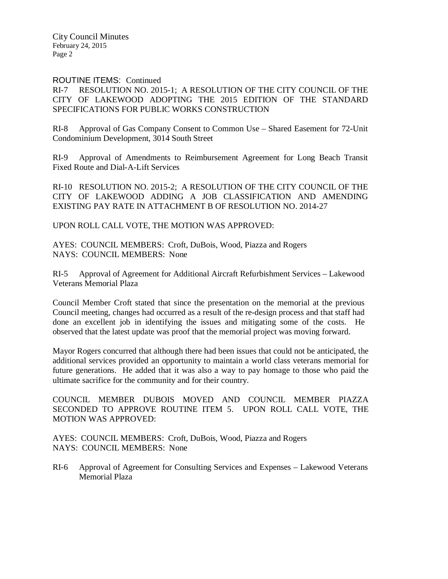City Council Minutes February 24, 2015 Page 2

#### ROUTINE ITEMS: Continued

#### RI-7 RESOLUTION NO. 2015-1; A RESOLUTION OF THE CITY COUNCIL OF THE CITY OF LAKEWOOD ADOPTING THE 2015 EDITION OF THE STANDARD SPECIFICATIONS FOR PUBLIC WORKS CONSTRUCTION

RI-8 Approval of Gas Company Consent to Common Use – Shared Easement for 72-Unit Condominium Development, 3014 South Street

RI-9 Approval of Amendments to Reimbursement Agreement for Long Beach Transit Fixed Route and Dial-A-Lift Services

RI-10 RESOLUTION NO. 2015-2; A RESOLUTION OF THE CITY COUNCIL OF THE CITY OF LAKEWOOD ADDING A JOB CLASSIFICATION AND AMENDING EXISTING PAY RATE IN ATTACHMENT B OF RESOLUTION NO. 2014-27

UPON ROLL CALL VOTE, THE MOTION WAS APPROVED:

AYES: COUNCIL MEMBERS: Croft, DuBois, Wood, Piazza and Rogers NAYS: COUNCIL MEMBERS: None

RI-5 Approval of Agreement for Additional Aircraft Refurbishment Services – Lakewood Veterans Memorial Plaza

Council Member Croft stated that since the presentation on the memorial at the previous Council meeting, changes had occurred as a result of the re-design process and that staff had done an excellent job in identifying the issues and mitigating some of the costs. He observed that the latest update was proof that the memorial project was moving forward.

Mayor Rogers concurred that although there had been issues that could not be anticipated, the additional services provided an opportunity to maintain a world class veterans memorial for future generations. He added that it was also a way to pay homage to those who paid the ultimate sacrifice for the community and for their country.

COUNCIL MEMBER DUBOIS MOVED AND COUNCIL MEMBER PIAZZA SECONDED TO APPROVE ROUTINE ITEM 5. UPON ROLL CALL VOTE, THE MOTION WAS APPROVED:

AYES: COUNCIL MEMBERS: Croft, DuBois, Wood, Piazza and Rogers NAYS: COUNCIL MEMBERS: None

RI-6 Approval of Agreement for Consulting Services and Expenses – Lakewood Veterans Memorial Plaza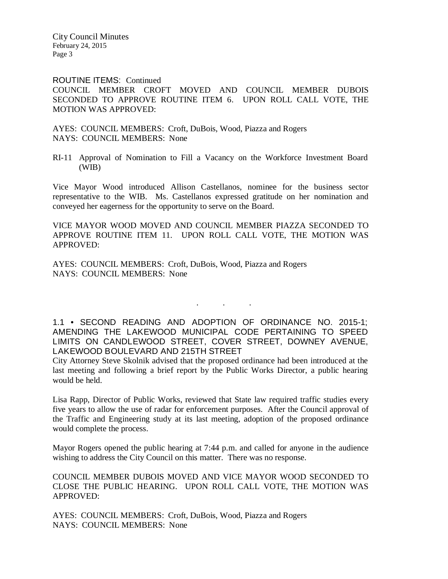City Council Minutes February 24, 2015 Page 3

ROUTINE ITEMS: Continued

COUNCIL MEMBER CROFT MOVED AND COUNCIL MEMBER DUBOIS SECONDED TO APPROVE ROUTINE ITEM 6. UPON ROLL CALL VOTE, THE MOTION WAS APPROVED:

AYES: COUNCIL MEMBERS: Croft, DuBois, Wood, Piazza and Rogers NAYS: COUNCIL MEMBERS: None

RI-11 Approval of Nomination to Fill a Vacancy on the Workforce Investment Board (WIB)

Vice Mayor Wood introduced Allison Castellanos, nominee for the business sector representative to the WIB. Ms. Castellanos expressed gratitude on her nomination and conveyed her eagerness for the opportunity to serve on the Board.

VICE MAYOR WOOD MOVED AND COUNCIL MEMBER PIAZZA SECONDED TO APPROVE ROUTINE ITEM 11. UPON ROLL CALL VOTE, THE MOTION WAS APPROVED:

AYES: COUNCIL MEMBERS: Croft, DuBois, Wood, Piazza and Rogers NAYS: COUNCIL MEMBERS: None

1.1 • SECOND READING AND ADOPTION OF ORDINANCE NO. 2015-1; AMENDING THE LAKEWOOD MUNICIPAL CODE PERTAINING TO SPEED LIMITS ON CANDLEWOOD STREET, COVER STREET, DOWNEY AVENUE, LAKEWOOD BOULEVARD AND 215TH STREET

. . .

City Attorney Steve Skolnik advised that the proposed ordinance had been introduced at the last meeting and following a brief report by the Public Works Director, a public hearing would be held.

Lisa Rapp, Director of Public Works, reviewed that State law required traffic studies every five years to allow the use of radar for enforcement purposes. After the Council approval of the Traffic and Engineering study at its last meeting, adoption of the proposed ordinance would complete the process.

Mayor Rogers opened the public hearing at 7:44 p.m. and called for anyone in the audience wishing to address the City Council on this matter. There was no response.

COUNCIL MEMBER DUBOIS MOVED AND VICE MAYOR WOOD SECONDED TO CLOSE THE PUBLIC HEARING. UPON ROLL CALL VOTE, THE MOTION WAS APPROVED:

AYES: COUNCIL MEMBERS: Croft, DuBois, Wood, Piazza and Rogers NAYS: COUNCIL MEMBERS: None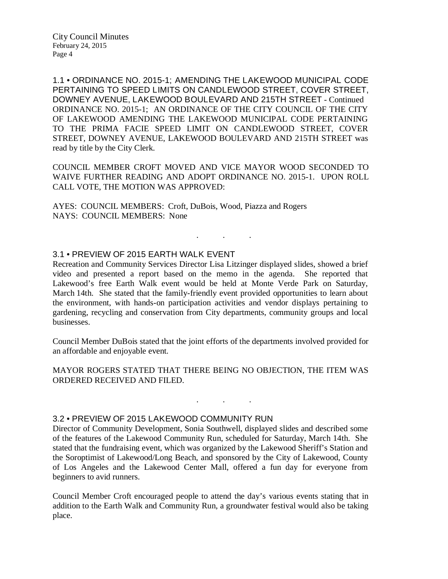1.1 • ORDINANCE NO. 2015-1; AMENDING THE LAKEWOOD MUNICIPAL CODE PERTAINING TO SPEED LIMITS ON CANDLEWOOD STREET, COVER STREET, DOWNEY AVENUE, LAKEWOOD BOULEVARD AND 215TH STREET - Continued ORDINANCE NO. 2015-1; AN ORDINANCE OF THE CITY COUNCIL OF THE CITY OF LAKEWOOD AMENDING THE LAKEWOOD MUNICIPAL CODE PERTAINING TO THE PRIMA FACIE SPEED LIMIT ON CANDLEWOOD STREET, COVER STREET, DOWNEY AVENUE, LAKEWOOD BOULEVARD AND 215TH STREET was read by title by the City Clerk.

COUNCIL MEMBER CROFT MOVED AND VICE MAYOR WOOD SECONDED TO WAIVE FURTHER READING AND ADOPT ORDINANCE NO. 2015-1. UPON ROLL CALL VOTE, THE MOTION WAS APPROVED:

. . .

AYES: COUNCIL MEMBERS: Croft, DuBois, Wood, Piazza and Rogers NAYS: COUNCIL MEMBERS: None

#### 3.1 • PREVIEW OF 2015 EARTH WALK EVENT

Recreation and Community Services Director Lisa Litzinger displayed slides, showed a brief video and presented a report based on the memo in the agenda. She reported that Lakewood's free Earth Walk event would be held at Monte Verde Park on Saturday, March 14th. She stated that the family-friendly event provided opportunities to learn about the environment, with hands-on participation activities and vendor displays pertaining to gardening, recycling and conservation from City departments, community groups and local businesses.

Council Member DuBois stated that the joint efforts of the departments involved provided for an affordable and enjoyable event.

MAYOR ROGERS STATED THAT THERE BEING NO OBJECTION, THE ITEM WAS ORDERED RECEIVED AND FILED.

. . .

#### 3.2 • PREVIEW OF 2015 LAKEWOOD COMMUNITY RUN

Director of Community Development, Sonia Southwell, displayed slides and described some of the features of the Lakewood Community Run, scheduled for Saturday, March 14th. She stated that the fundraising event, which was organized by the Lakewood Sheriff's Station and the Soroptimist of Lakewood/Long Beach, and sponsored by the City of Lakewood, County of Los Angeles and the Lakewood Center Mall, offered a fun day for everyone from beginners to avid runners.

Council Member Croft encouraged people to attend the day's various events stating that in addition to the Earth Walk and Community Run, a groundwater festival would also be taking place.